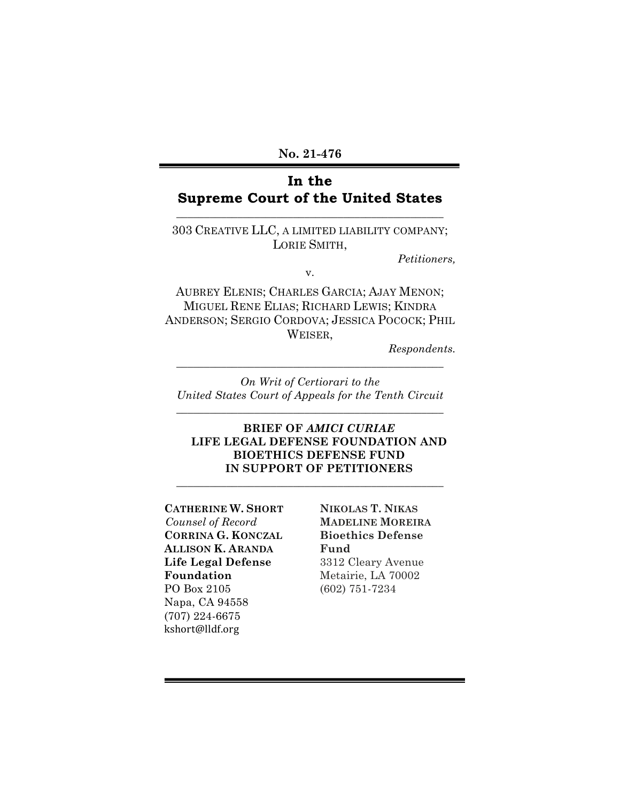# **In the Supreme Court of the United States**

**\_\_\_\_\_\_\_\_\_\_\_\_\_\_\_\_\_\_\_\_\_\_\_\_\_\_\_\_\_\_\_\_\_\_\_\_\_\_\_\_\_\_\_\_\_\_\_\_**

303 CREATIVE LLC, A LIMITED LIABILITY COMPANY; LORIE SMITH,

*Petitioners,*

v.

AUBREY ELENIS; CHARLES GARCIA; AJAY MENON; MIGUEL RENE ELIAS; RICHARD LEWIS; KINDRA ANDERSON; SERGIO CORDOVA; JESSICA POCOCK; PHIL WEISER,

*Respondents.*

*On Writ of Certiorari to the United States Court of Appeals for the Tenth Circuit*

**\_\_\_\_\_\_\_\_\_\_\_\_\_\_\_\_\_\_\_\_\_\_\_\_\_\_\_\_\_\_\_\_\_\_\_\_\_\_\_\_\_\_\_\_\_\_\_\_**

\_\_\_\_\_\_\_\_\_\_\_\_\_\_\_\_\_\_\_\_\_\_\_\_\_\_\_\_\_\_\_\_\_\_\_\_\_\_\_\_\_\_\_\_\_\_\_\_

**\_\_\_\_\_\_\_\_\_\_\_\_\_\_\_\_\_\_\_\_\_\_\_\_\_\_\_\_\_\_\_\_\_\_\_\_\_\_\_\_\_\_\_\_\_\_\_\_**

### **BRIEF OF** *AMICI CURIAE* **LIFE LEGAL DEFENSE FOUNDATION AND BIOETHICS DEFENSE FUND IN SUPPORT OF PETITIONERS**

### **CATHERINE W. SHORT** *Counsel of Record* **CORRINA G. KONCZAL ALLISON K. ARANDA Life Legal Defense Foundation** PO Box 2105 Napa, CA 94558 (707) 224-6675 kshort@lldf.org

**NIKOLAS T. NIKAS MADELINE MOREIRA Bioethics Defense Fund** 3312 Cleary Avenue Metairie, LA 70002 (602) 751-7234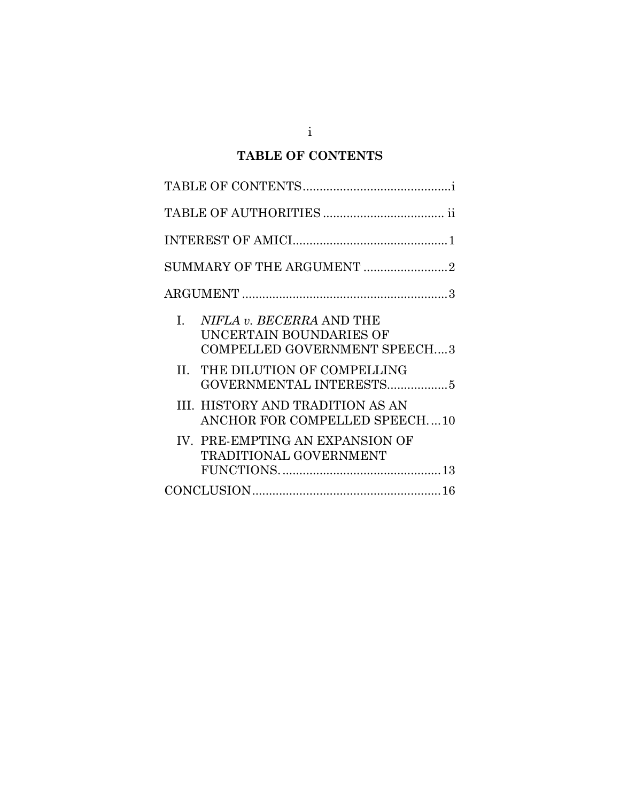# <span id="page-1-0"></span>**TABLE OF CONTENTS**

| SUMMARY OF THE ARGUMENT 2                                                                        |  |  |  |  |
|--------------------------------------------------------------------------------------------------|--|--|--|--|
|                                                                                                  |  |  |  |  |
| L.<br>NIFLA v. BECERRA AND THE<br>UNCERTAIN BOUNDARIES OF<br><b>COMPELLED GOVERNMENT SPEECH3</b> |  |  |  |  |
| II. THE DILUTION OF COMPELLING<br>GOVERNMENTAL INTERESTS5                                        |  |  |  |  |
| III. HISTORY AND TRADITION AS AN<br>ANCHOR FOR COMPELLED SPEECH10                                |  |  |  |  |
| IV. PRE-EMPTING AN EXPANSION OF<br><b>TRADITIONAL GOVERNMENT</b>                                 |  |  |  |  |
|                                                                                                  |  |  |  |  |

i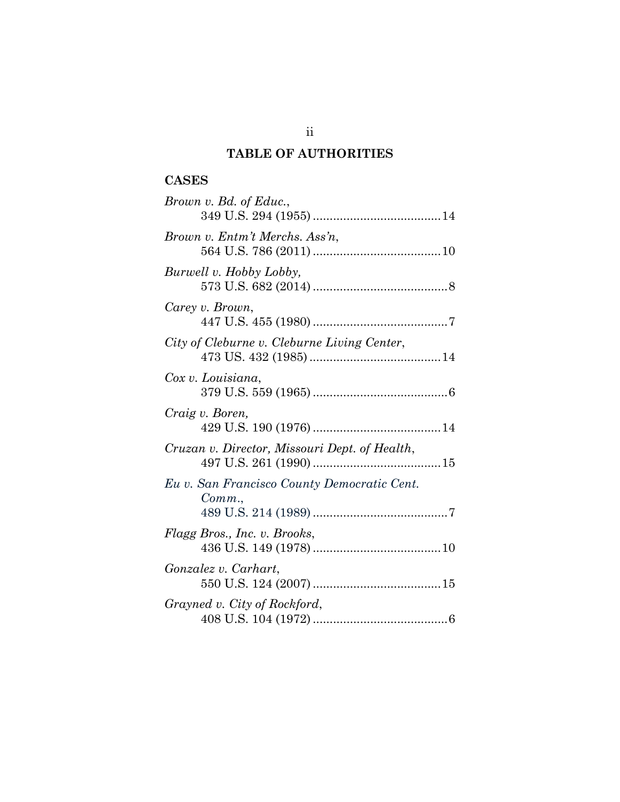# <span id="page-2-0"></span>**TABLE OF AUTHORITIES**

# **CASES**

| Brown v. Bd. of Educ.,                               |
|------------------------------------------------------|
| Brown v. Entm't Merchs. Ass'n,                       |
| Burwell v. Hobby Lobby,                              |
| Carey v. Brown,                                      |
| City of Cleburne v. Cleburne Living Center,          |
| Cox v. Louisiana,                                    |
| Craig v. Boren,                                      |
| Cruzan v. Director, Missouri Dept. of Health,        |
| Eu v. San Francisco County Democratic Cent.<br>Comm. |
| Flagg Bros., Inc. v. Brooks,                         |
| Gonzalez v. Carhart,                                 |
| Grayned v. City of Rockford,                         |

ii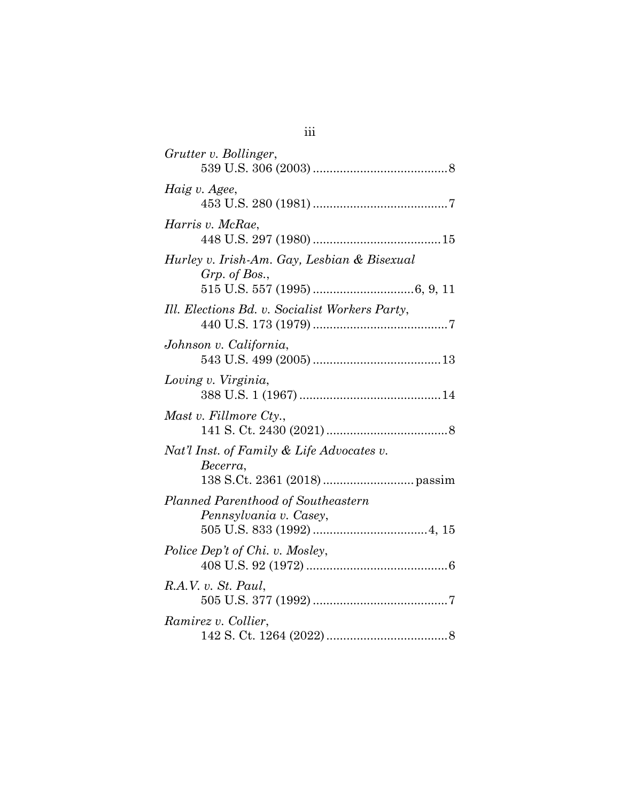| Grutter v. Bollinger,                                        |
|--------------------------------------------------------------|
| Haig v. Agee,                                                |
| Harris v. McRae,                                             |
| Hurley v. Irish-Am. Gay, Lesbian & Bisexual<br>Grp. of Bos., |
| Ill. Elections Bd. v. Socialist Workers Party,               |
| Johnson v. California,                                       |
| Loving v. Virginia,                                          |
| Mast v. Fillmore Cty.,                                       |
| Nat'l Inst. of Family & Life Advocates v.<br>Becerra,        |
| Planned Parenthood of Southeastern<br>Pennsylvania v. Casey, |
| Police Dep't of Chi. v. Mosley,                              |
| R.A.V. v. St. Paul,                                          |
| Ramirez v. Collier,                                          |

iii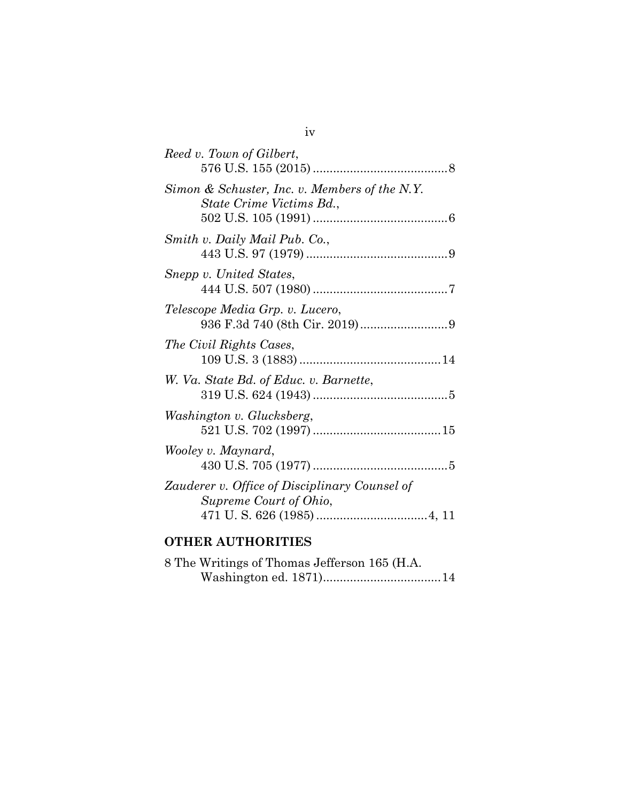| Reed v. Town of Gilbert,                                                  |  |
|---------------------------------------------------------------------------|--|
| Simon & Schuster, Inc. v. Members of the N.Y.<br>State Crime Victims Bd., |  |
| Smith v. Daily Mail Pub. Co.,                                             |  |
| Snepp v. United States,                                                   |  |
| Telescope Media Grp. v. Lucero,                                           |  |
| The Civil Rights Cases,                                                   |  |
| W. Va. State Bd. of Educ. v. Barnette,                                    |  |
| Washington v. Glucksberg,                                                 |  |
| Wooley v. Maynard,                                                        |  |
| Zauderer v. Office of Disciplinary Counsel of<br>Supreme Court of Ohio,   |  |
|                                                                           |  |

# **OTHER AUTHORITIES**

|  | 8 The Writings of Thomas Jefferson 165 (H.A. |  |
|--|----------------------------------------------|--|
|  |                                              |  |

## iv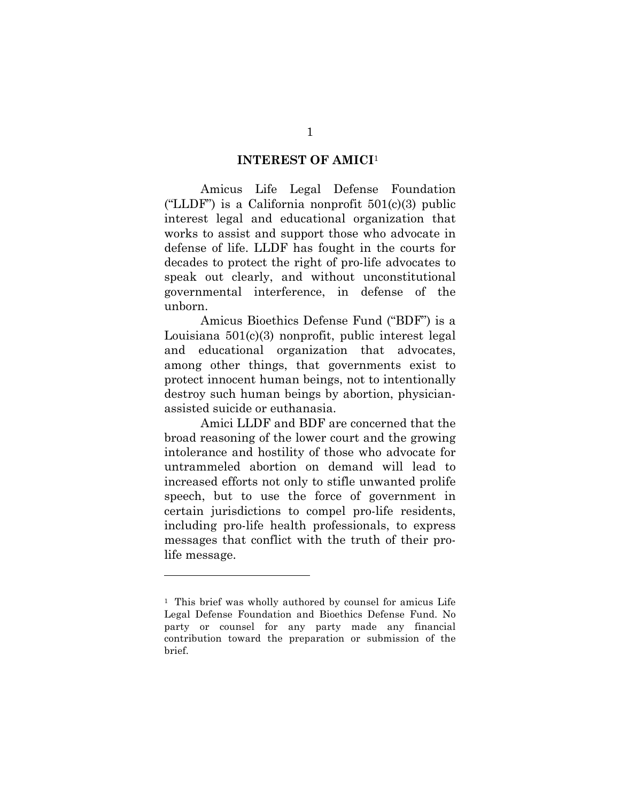#### <span id="page-5-0"></span>**INTEREST OF AMICI**<sup>1</sup>

Amicus Life Legal Defense Foundation ("LLDF") is a California nonprofit  $501(c)(3)$  public interest legal and educational organization that works to assist and support those who advocate in defense of life. LLDF has fought in the courts for decades to protect the right of pro-life advocates to speak out clearly, and without unconstitutional governmental interference, in defense of the unborn.

Amicus Bioethics Defense Fund ("BDF") is a Louisiana 501(c)(3) nonprofit, public interest legal and educational organization that advocates, among other things, that governments exist to protect innocent human beings, not to intentionally destroy such human beings by abortion, physicianassisted suicide or euthanasia.

Amici LLDF and BDF are concerned that the broad reasoning of the lower court and the growing intolerance and hostility of those who advocate for untrammeled abortion on demand will lead to increased efforts not only to stifle unwanted prolife speech, but to use the force of government in certain jurisdictions to compel pro-life residents, including pro-life health professionals, to express messages that conflict with the truth of their prolife message.

 

<sup>&</sup>lt;sup>1</sup> This brief was wholly authored by counsel for amicus Life Legal Defense Foundation and Bioethics Defense Fund. No party or counsel for any party made any financial contribution toward the preparation or submission of the brief.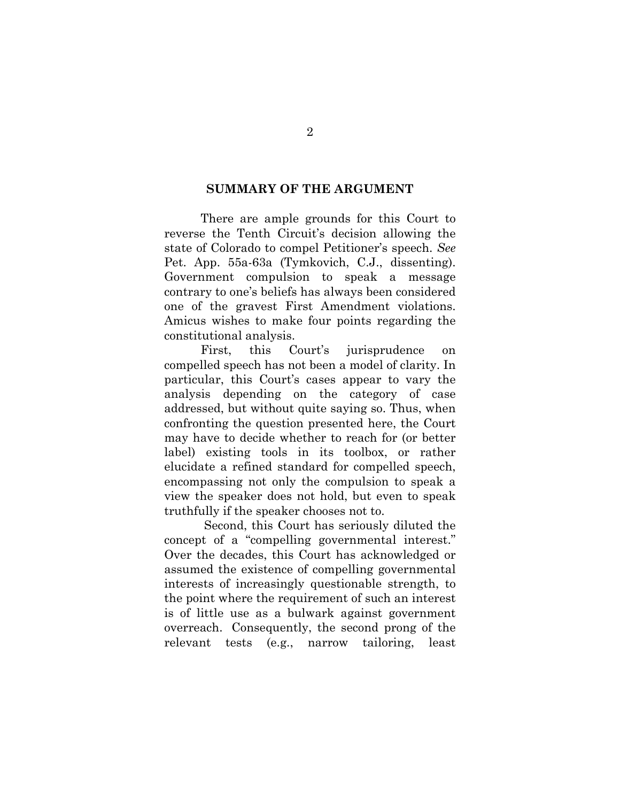#### <span id="page-6-0"></span>**SUMMARY OF THE ARGUMENT**

There are ample grounds for this Court to reverse the Tenth Circuit's decision allowing the state of Colorado to compel Petitioner's speech. *See*  Pet. App. 55a-63a (Tymkovich, C.J., dissenting). Government compulsion to speak a message contrary to one's beliefs has always been considered one of the gravest First Amendment violations. Amicus wishes to make four points regarding the constitutional analysis.

First, this Court's jurisprudence on compelled speech has not been a model of clarity. In particular, this Court's cases appear to vary the analysis depending on the category of case addressed, but without quite saying so. Thus, when confronting the question presented here, the Court may have to decide whether to reach for (or better label) existing tools in its toolbox, or rather elucidate a refined standard for compelled speech, encompassing not only the compulsion to speak a view the speaker does not hold, but even to speak truthfully if the speaker chooses not to.

Second, this Court has seriously diluted the concept of a "compelling governmental interest." Over the decades, this Court has acknowledged or assumed the existence of compelling governmental interests of increasingly questionable strength, to the point where the requirement of such an interest is of little use as a bulwark against government overreach. Consequently, the second prong of the relevant tests (e.g., narrow tailoring, least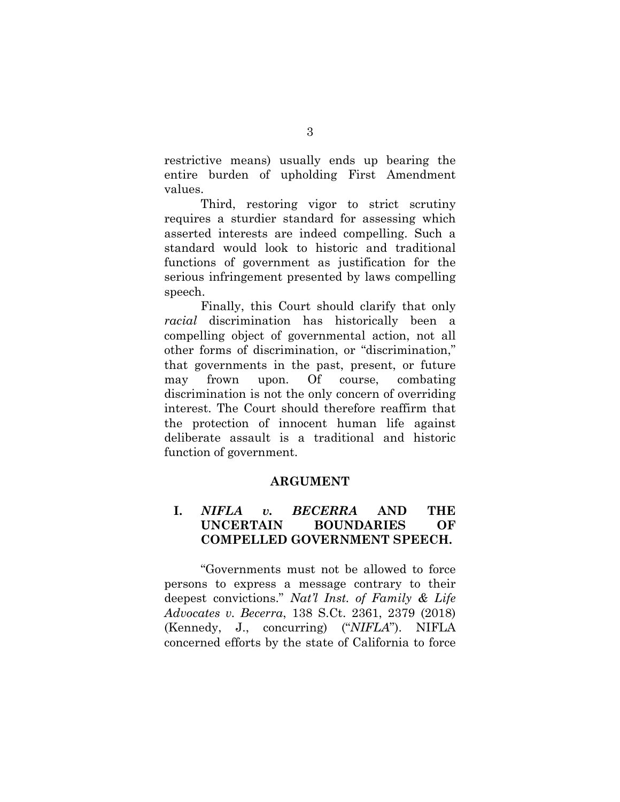restrictive means) usually ends up bearing the entire burden of upholding First Amendment values.

Third, restoring vigor to strict scrutiny requires a sturdier standard for assessing which asserted interests are indeed compelling. Such a standard would look to historic and traditional functions of government as justification for the serious infringement presented by laws compelling speech.

Finally, this Court should clarify that only *racial* discrimination has historically been a compelling object of governmental action, not all other forms of discrimination, or "discrimination," that governments in the past, present, or future may frown upon. Of course, combating discrimination is not the only concern of overriding interest. The Court should therefore reaffirm that the protection of innocent human life against deliberate assault is a traditional and historic function of government.

#### <span id="page-7-0"></span>**ARGUMENT**

## <span id="page-7-1"></span>**I.** *NIFLA v. BECERRA* **AND THE UNCERTAIN BOUNDARIES OF COMPELLED GOVERNMENT SPEECH.**

"Governments must not be allowed to force persons to express a message contrary to their deepest convictions." *Nat'l Inst. of Family & Life Advocates v. Becerra*, 138 S.Ct. 2361, 2379 (2018) (Kennedy, J., concurring) ("*NIFLA*"). NIFLA concerned efforts by the state of California to force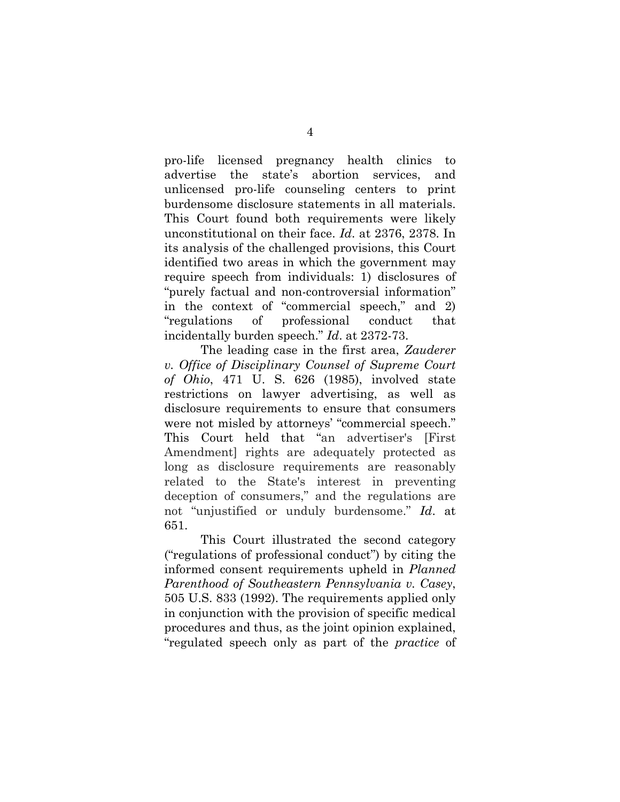pro-life licensed pregnancy health clinics to advertise the state's abortion services, and unlicensed pro-life counseling centers to print burdensome disclosure statements in all materials. This Court found both requirements were likely unconstitutional on their face. *Id*. at 2376, 2378. In its analysis of the challenged provisions, this Court identified two areas in which the government may require speech from individuals: 1) disclosures of "purely factual and non-controversial information" in the context of "commercial speech," and 2) "regulations of professional conduct that incidentally burden speech." *Id*. at 2372-73.

The leading case in the first area, *Zauderer v. Office of Disciplinary Counsel of Supreme Court of Ohio*, 471 U. S. 626 (1985), involved state restrictions on lawyer advertising, as well as disclosure requirements to ensure that consumers were not misled by attorneys' "commercial speech." This Court held that "an advertiser's [First Amendment] rights are adequately protected as long as disclosure requirements are reasonably related to the State's interest in preventing deception of consumers," and the regulations are not "unjustified or unduly burdensome." *Id*. at 651.

This Court illustrated the second category ("regulations of professional conduct") by citing the informed consent requirements upheld in *Planned Parenthood of Southeastern Pennsylvania v. Casey*, 505 U.S. 833 (1992). The requirements applied only in conjunction with the provision of specific medical procedures and thus, as the joint opinion explained, "regulated speech only as part of the *practice* of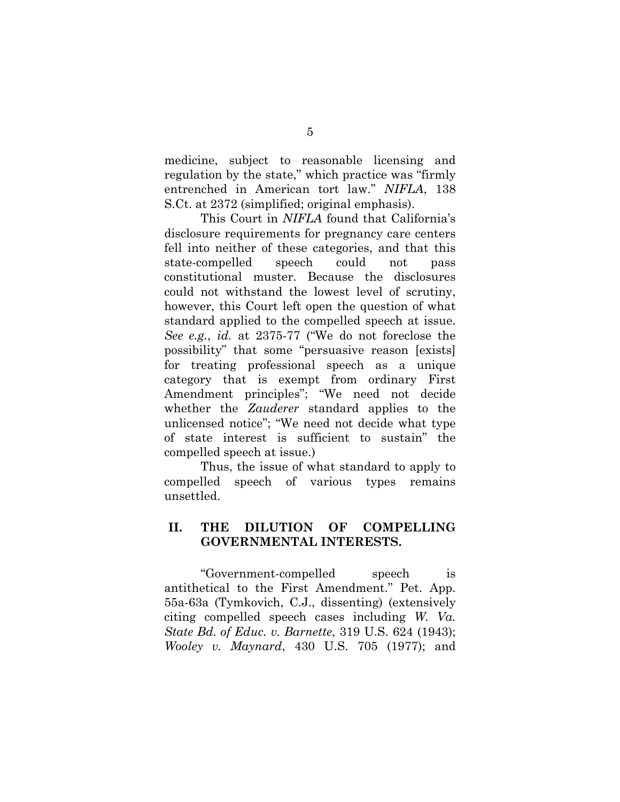medicine, subject to reasonable licensing and regulation by the state," which practice was "firmly entrenched in American tort law." *NIFLA*, 138 S.Ct. at 2372 (simplified; original emphasis).

This Court in *NIFLA* found that California's disclosure requirements for pregnancy care centers fell into neither of these categories, and that this state-compelled speech could not pass constitutional muster. Because the disclosures could not withstand the lowest level of scrutiny, however, this Court left open the question of what standard applied to the compelled speech at issue. *See e.g.*, *id.* at 2375-77 ("We do not foreclose the possibility" that some "persuasive reason [exists] for treating professional speech as a unique category that is exempt from ordinary First Amendment principles"; "We need not decide whether the *Zauderer* standard applies to the unlicensed notice"; "We need not decide what type of state interest is sufficient to sustain" the compelled speech at issue.)

Thus, the issue of what standard to apply to compelled speech of various types remains unsettled.

## <span id="page-9-0"></span>**II. THE DILUTION OF COMPELLING GOVERNMENTAL INTERESTS.**

"Government-compelled speech is antithetical to the First Amendment." Pet. App. 55a-63a (Tymkovich, C.J., dissenting) (extensively citing compelled speech cases including *W. Va. State Bd. of Educ. v. Barnette*, 319 U.S. 624 (1943); *Wooley v. Maynard*, 430 U.S. 705 (1977); and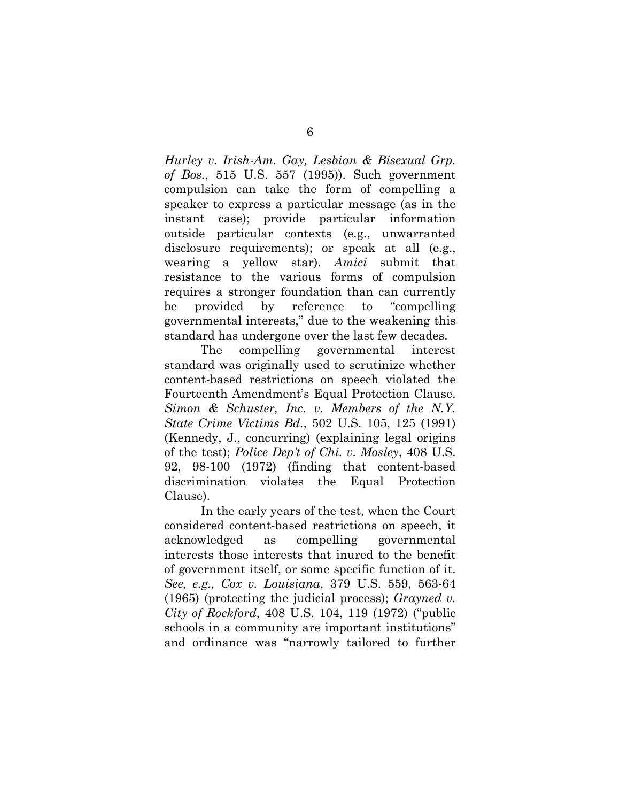*Hurley v. Irish-Am. Gay, Lesbian & Bisexual Grp. of Bos.*, 515 U.S. 557 (1995)). Such government compulsion can take the form of compelling a speaker to express a particular message (as in the instant case); provide particular information outside particular contexts (e.g., unwarranted disclosure requirements); or speak at all (e.g., wearing a yellow star). *Amici* submit that resistance to the various forms of compulsion requires a stronger foundation than can currently be provided by reference to "compelling governmental interests," due to the weakening this standard has undergone over the last few decades.

The compelling governmental interest standard was originally used to scrutinize whether content-based restrictions on speech violated the Fourteenth Amendment's Equal Protection Clause. *Simon & Schuster, Inc. v. Members of the N.Y. State Crime Victims Bd.*, 502 U.S. 105, 125 (1991) (Kennedy, J., concurring) (explaining legal origins of the test); *Police Dep't of Chi. v. Mosley*, 408 U.S. 92, 98-100 (1972) (finding that content-based discrimination violates the Equal Protection Clause).

In the early years of the test, when the Court considered content-based restrictions on speech, it acknowledged as compelling governmental interests those interests that inured to the benefit of government itself, or some specific function of it. *See, e.g., Cox v. Louisiana*, 379 U.S. 559, 563-64 (1965) (protecting the judicial process); *Grayned v. City of Rockford*, 408 U.S. 104, 119 (1972) ("public schools in a community are important institutions" and ordinance was "narrowly tailored to further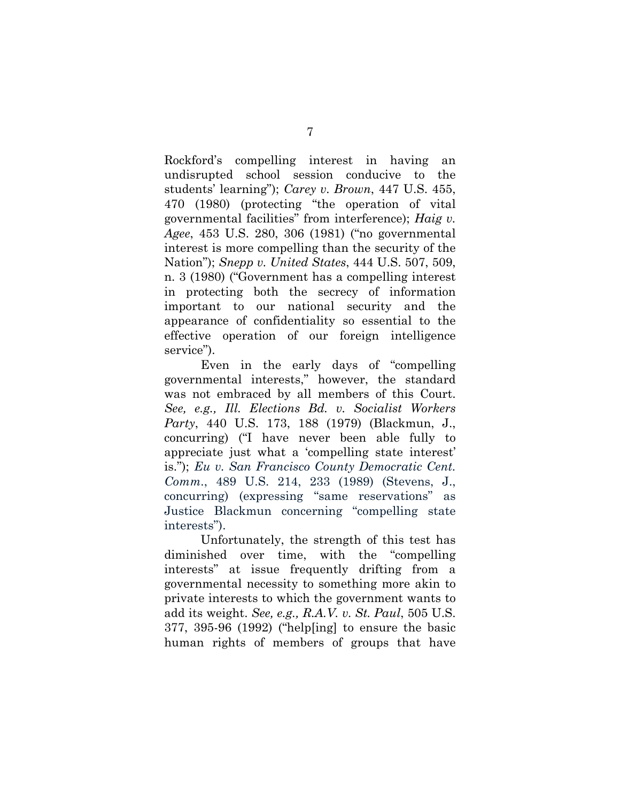Rockford's compelling interest in having an undisrupted school session conducive to the students' learning"); *Carey v. Brown*, 447 U.S. 455, 470 (1980) (protecting "the operation of vital governmental facilities" from interference); *Haig v. Agee*, 453 U.S. 280, 306 (1981) ("no governmental interest is more compelling than the security of the Nation"); *Snepp v. United States*, 444 U.S. 507, 509, n. 3 (1980) ("Government has a compelling interest in protecting both the secrecy of information important to our national security and the appearance of confidentiality so essential to the effective operation of our foreign intelligence service").

Even in the early days of "compelling governmental interests," however, the standard was not embraced by all members of this Court. *See, e.g., Ill. Elections Bd. v. Socialist Workers Party*, 440 U.S. 173, 188 (1979) (Blackmun, J., concurring) ("I have never been able fully to appreciate just what a 'compelling state interest' is."); *Eu v. San Francisco County Democratic Cent. Comm*., 489 U.S. 214, 233 (1989) (Stevens, J., concurring) (expressing "same reservations" as Justice Blackmun concerning "compelling state interests").

Unfortunately, the strength of this test has diminished over time, with the "compelling interests" at issue frequently drifting from a governmental necessity to something more akin to private interests to which the government wants to add its weight. *See, e.g., R.A.V. v. St. Paul*, 505 U.S. 377, 395-96 (1992) ("help[ing] to ensure the basic human rights of members of groups that have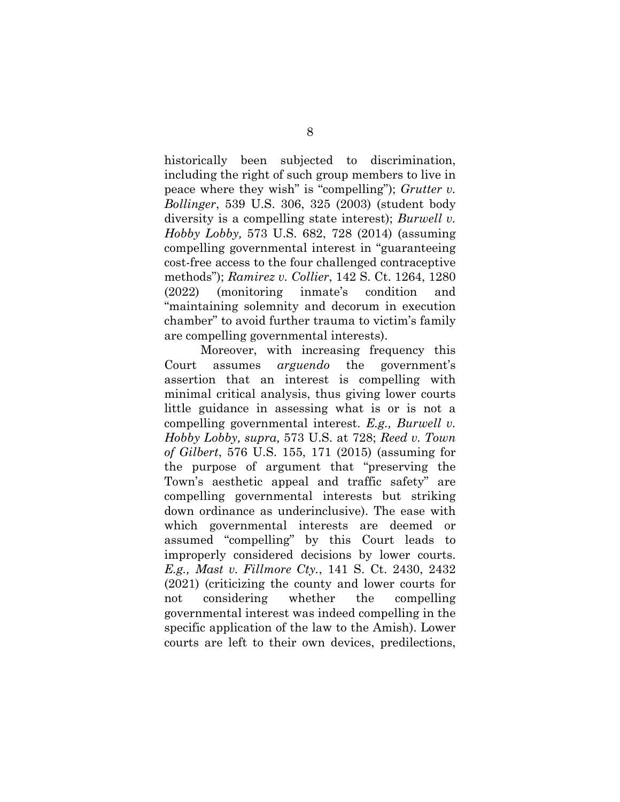historically been subjected to discrimination, including the right of such group members to live in peace where they wish" is "compelling"); *Grutter v. Bollinger*, 539 U.S. 306, 325 (2003) (student body diversity is a compelling state interest); *Burwell v. Hobby Lobby,* 573 U.S. 682, 728 (2014) (assuming compelling governmental interest in "guaranteeing cost-free access to the four challenged contraceptive methods"); *Ramirez v. Collier*, 142 S. Ct. 1264, 1280 (2022) (monitoring inmate's condition and "maintaining solemnity and decorum in execution chamber" to avoid further trauma to victim's family are compelling governmental interests).

Moreover, with increasing frequency this Court assumes *arguendo* the government's assertion that an interest is compelling with minimal critical analysis, thus giving lower courts little guidance in assessing what is or is not a compelling governmental interest. *E.g., Burwell v. Hobby Lobby, supra,* 573 U.S. at 728; *Reed v. Town of Gilbert*, 576 U.S. 155, 171 (2015) (assuming for the purpose of argument that "preserving the Town's aesthetic appeal and traffic safety" are compelling governmental interests but striking down ordinance as underinclusive). The ease with which governmental interests are deemed or assumed "compelling" by this Court leads to improperly considered decisions by lower courts. *E.g., Mast v. Fillmore Cty.*, 141 S. Ct. 2430, 2432 (2021) (criticizing the county and lower courts for not considering whether the compelling governmental interest was indeed compelling in the specific application of the law to the Amish). Lower courts are left to their own devices, predilections,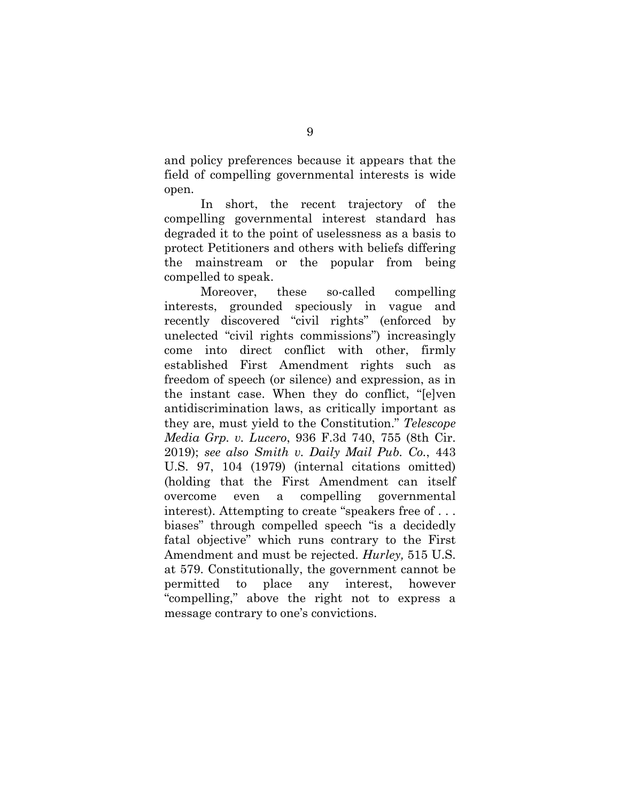and policy preferences because it appears that the field of compelling governmental interests is wide open.

In short, the recent trajectory of the compelling governmental interest standard has degraded it to the point of uselessness as a basis to protect Petitioners and others with beliefs differing the mainstream or the popular from being compelled to speak.

Moreover, these so-called compelling interests, grounded speciously in vague and recently discovered "civil rights" (enforced by unelected "civil rights commissions") increasingly come into direct conflict with other, firmly established First Amendment rights such as freedom of speech (or silence) and expression, as in the instant case. When they do conflict, "[e]ven antidiscrimination laws, as critically important as they are, must yield to the Constitution." *Telescope Media Grp. v. Lucero*, 936 F.3d 740, 755 (8th Cir. 2019); *see also Smith v. Daily Mail Pub. Co.*, 443 U.S. 97, 104 (1979) (internal citations omitted) (holding that the First Amendment can itself overcome even a compelling governmental interest). Attempting to create "speakers free of . . . biases" through compelled speech "is a decidedly fatal objective" which runs contrary to the First Amendment and must be rejected. *Hurley,* 515 U.S. at 579. Constitutionally, the government cannot be permitted to place any interest, however "compelling," above the right not to express a message contrary to one's convictions.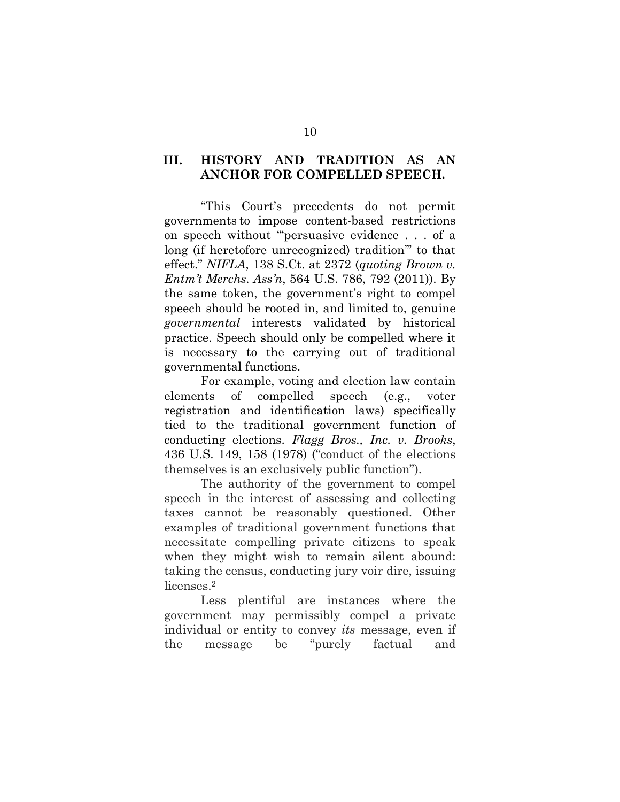## <span id="page-14-0"></span>**III. HISTORY AND TRADITION AS AN ANCHOR FOR COMPELLED SPEECH.**

"This Court's precedents do not permit governments to impose content-based restrictions on speech without "'persuasive evidence . . . of a long (if heretofore unrecognized) tradition'" to that effect." *NIFLA*, 138 S.Ct. at 2372 (*quoting Brown v. Entm't Merchs. Ass'n*, 564 U.S. 786, 792 (2011)). By the same token, the government's right to compel speech should be rooted in, and limited to, genuine *governmental* interests validated by historical practice. Speech should only be compelled where it is necessary to the carrying out of traditional governmental functions.

For example, voting and election law contain elements of compelled speech (e.g., voter registration and identification laws) specifically tied to the traditional government function of conducting elections. *Flagg Bros., Inc. v. Brooks*, 436 U.S. 149, 158 (1978) ("conduct of the elections themselves is an exclusively public function").

The authority of the government to compel speech in the interest of assessing and collecting taxes cannot be reasonably questioned. Other examples of traditional government functions that necessitate compelling private citizens to speak when they might wish to remain silent abound: taking the census, conducting jury voir dire, issuing licenses.2

Less plentiful are instances where the government may permissibly compel a private individual or entity to convey *its* message, even if the message be "purely factual and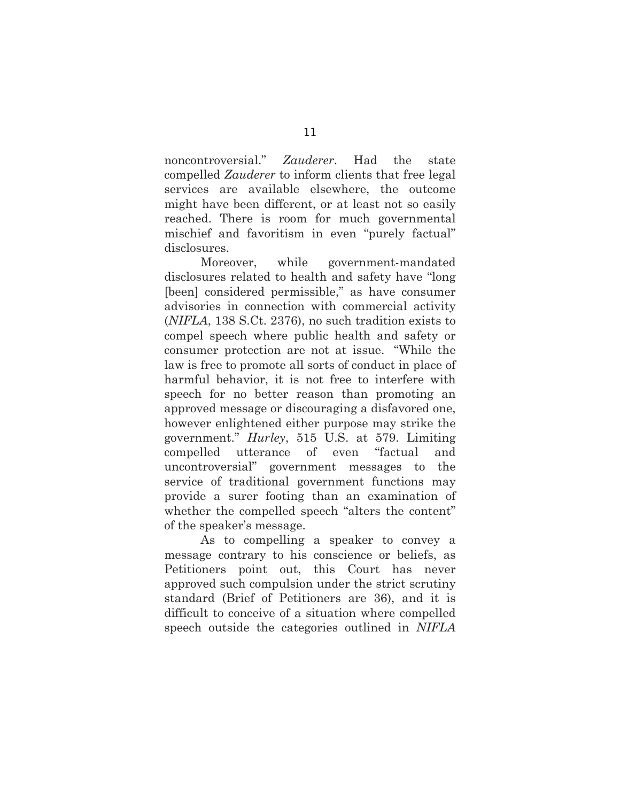noncontroversial." *Zauderer*. Had the state compelled *Zauderer* to inform clients that free legal services are available elsewhere, the outcome might have been different, or at least not so easily reached. There is room for much governmental mischief and favoritism in even "purely factual" disclosures.

Moreover, while government-mandated disclosures related to health and safety have "long [been] considered permissible," as have consumer advisories in connection with commercial activity (*NIFLA*, 138 S.Ct. 2376), no such tradition exists to compel speech where public health and safety or consumer protection are not at issue. "While the law is free to promote all sorts of conduct in place of harmful behavior, it is not free to interfere with speech for no better reason than promoting an approved message or discouraging a disfavored one, however enlightened either purpose may strike the government." *Hurley*, 515 U.S. at 579. Limiting compelled utterance of even "factual and uncontroversial" government messages to the service of traditional government functions may provide a surer footing than an examination of whether the compelled speech "alters the content" of the speaker's message.

As to compelling a speaker to convey a message contrary to his conscience or beliefs, as Petitioners point out, this Court has never approved such compulsion under the strict scrutiny standard (Brief of Petitioners are 36), and it is difficult to conceive of a situation where compelled speech outside the categories outlined in *NIFLA*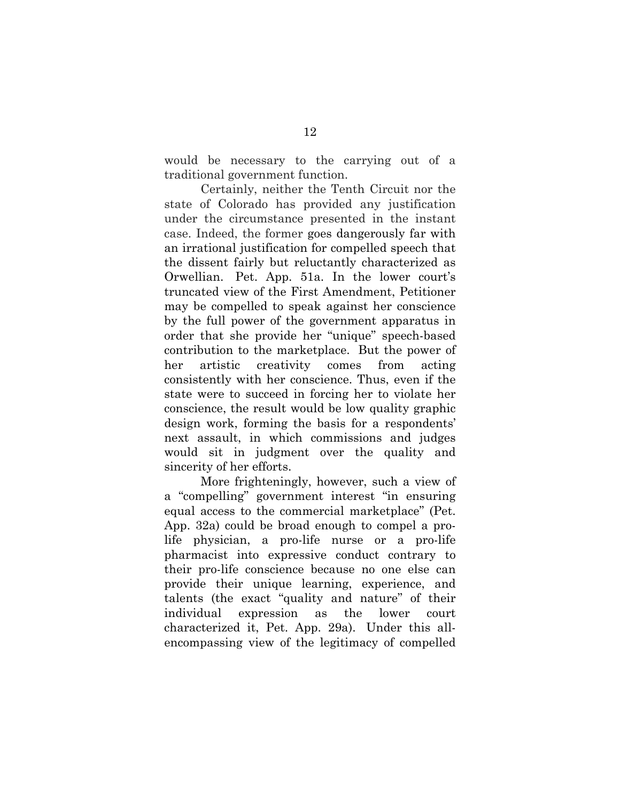would be necessary to the carrying out of a traditional government function.

Certainly, neither the Tenth Circuit nor the state of Colorado has provided any justification under the circumstance presented in the instant case. Indeed, the former goes dangerously far with an irrational justification for compelled speech that the dissent fairly but reluctantly characterized as Orwellian. Pet. App. 51a. In the lower court's truncated view of the First Amendment, Petitioner may be compelled to speak against her conscience by the full power of the government apparatus in order that she provide her "unique" speech-based contribution to the marketplace. But the power of her artistic creativity comes from acting consistently with her conscience. Thus, even if the state were to succeed in forcing her to violate her conscience, the result would be low quality graphic design work, forming the basis for a respondents' next assault, in which commissions and judges would sit in judgment over the quality and sincerity of her efforts.

More frighteningly, however, such a view of a "compelling" government interest "in ensuring equal access to the commercial marketplace" (Pet. App. 32a) could be broad enough to compel a prolife physician, a pro-life nurse or a pro-life pharmacist into expressive conduct contrary to their pro-life conscience because no one else can provide their unique learning, experience, and talents (the exact "quality and nature" of their individual expression as the lower court characterized it, Pet. App. 29a). Under this allencompassing view of the legitimacy of compelled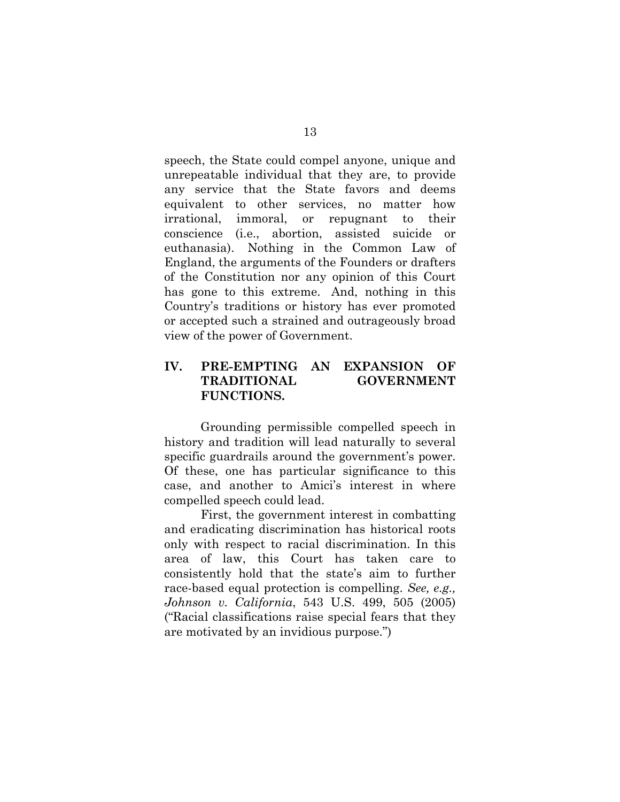speech, the State could compel anyone, unique and unrepeatable individual that they are, to provide any service that the State favors and deems equivalent to other services, no matter how irrational, immoral, or repugnant to their conscience (i.e., abortion, assisted suicide or euthanasia). Nothing in the Common Law of England, the arguments of the Founders or drafters of the Constitution nor any opinion of this Court has gone to this extreme. And, nothing in this Country's traditions or history has ever promoted or accepted such a strained and outrageously broad view of the power of Government.

## <span id="page-17-0"></span>**IV. PRE-EMPTING AN EXPANSION OF TRADITIONAL GOVERNMENT FUNCTIONS.**

Grounding permissible compelled speech in history and tradition will lead naturally to several specific guardrails around the government's power. Of these, one has particular significance to this case, and another to Amici's interest in where compelled speech could lead.

First, the government interest in combatting and eradicating discrimination has historical roots only with respect to racial discrimination. In this area of law, this Court has taken care to consistently hold that the state's aim to further race-based equal protection is compelling. *See, e.g., Johnson v. California*, 543 U.S. 499, 505 (2005) ("Racial classifications raise special fears that they are motivated by an invidious purpose.")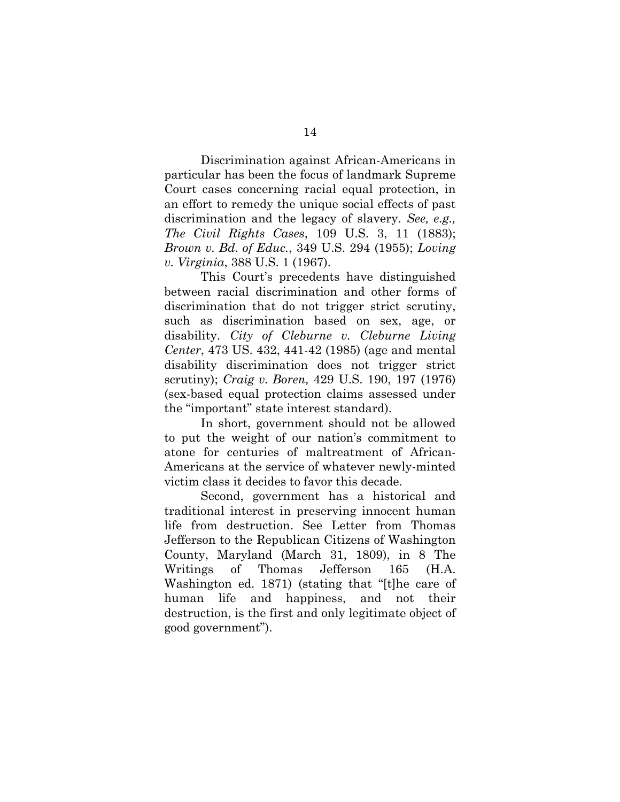Discrimination against African-Americans in particular has been the focus of landmark Supreme Court cases concerning racial equal protection, in an effort to remedy the unique social effects of past discrimination and the legacy of slavery. *See, e.g., The Civil Rights Cases*, 109 U.S. 3, 11 (1883); *Brown v. Bd. of Educ.*, 349 U.S. 294 (1955); *Loving v. Virginia*, 388 U.S. 1 (1967).

This Court's precedents have distinguished between racial discrimination and other forms of discrimination that do not trigger strict scrutiny, such as discrimination based on sex, age, or disability. *City of Cleburne v. Cleburne Living Center*, 473 US. 432, 441-42 (1985) (age and mental disability discrimination does not trigger strict scrutiny); *Craig v. Boren,* 429 U.S. 190, 197 (1976) (sex-based equal protection claims assessed under the "important" state interest standard).

In short, government should not be allowed to put the weight of our nation's commitment to atone for centuries of maltreatment of African-Americans at the service of whatever newly-minted victim class it decides to favor this decade.

Second, government has a historical and traditional interest in preserving innocent human life from destruction. See Letter from Thomas Jefferson to the Republican Citizens of Washington County, Maryland (March 31, 1809), in 8 The Writings of Thomas Jefferson 165 (H.A. Washington ed. 1871) (stating that "[t]he care of human life and happiness, and not their destruction, is the first and only legitimate object of good government").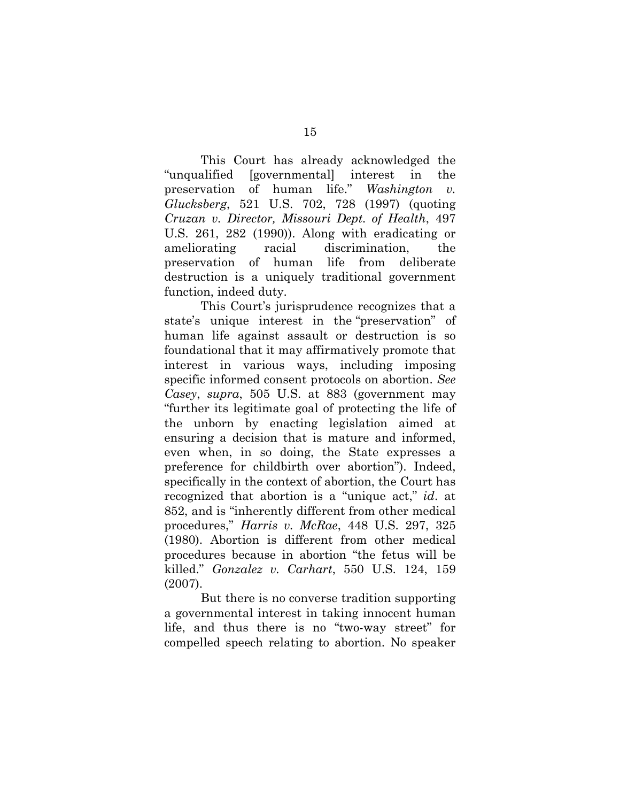This Court has already acknowledged the "unqualified [governmental] interest in the preservation of human life." *Washington v. Glucksberg*, 521 U.S. 702, 728 (1997) (quoting *Cruzan v. Director, Missouri Dept. of Health*, 497 U.S. 261, 282 (1990)). Along with eradicating or ameliorating racial discrimination, the preservation of human life from deliberate destruction is a uniquely traditional government function, indeed duty.

This Court's jurisprudence recognizes that a state's unique interest in the "preservation" of human life against assault or destruction is so foundational that it may affirmatively promote that interest in various ways, including imposing specific informed consent protocols on abortion. *See Casey*, *supra*, 505 U.S. at 883 (government may "further its legitimate goal of protecting the life of the unborn by enacting legislation aimed at ensuring a decision that is mature and informed, even when, in so doing, the State expresses a preference for childbirth over abortion"). Indeed, specifically in the context of abortion, the Court has recognized that abortion is a "unique act," *id*. at 852, and is "inherently different from other medical procedures," *Harris v. McRae*, 448 U.S. 297, 325 (1980). Abortion is different from other medical procedures because in abortion "the fetus will be killed." *Gonzalez v. Carhart*, 550 U.S. 124, 159 (2007).

But there is no converse tradition supporting a governmental interest in taking innocent human life, and thus there is no "two-way street" for compelled speech relating to abortion. No speaker